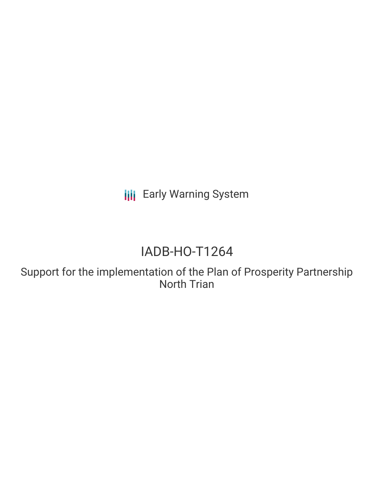**III** Early Warning System

# IADB-HO-T1264

Support for the implementation of the Plan of Prosperity Partnership North Trian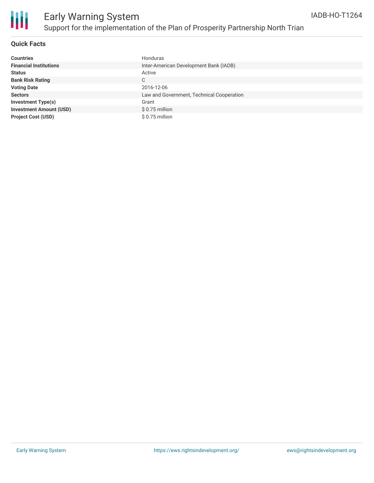

#### **Quick Facts**

| <b>Countries</b>               | Honduras                                  |
|--------------------------------|-------------------------------------------|
| <b>Financial Institutions</b>  | Inter-American Development Bank (IADB)    |
| <b>Status</b>                  | Active                                    |
| <b>Bank Risk Rating</b>        | C                                         |
| <b>Voting Date</b>             | 2016-12-06                                |
| <b>Sectors</b>                 | Law and Government, Technical Cooperation |
| <b>Investment Type(s)</b>      | Grant                                     |
| <b>Investment Amount (USD)</b> | \$0.75 million                            |
| <b>Project Cost (USD)</b>      | \$0.75 million                            |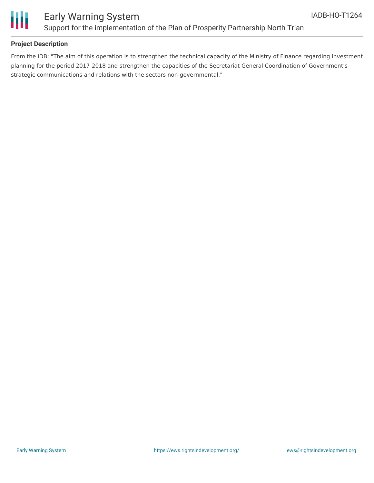

## Early Warning System Support for the implementation of the Plan of Prosperity Partnership North Trian

### **Project Description**

From the IDB: "The aim of this operation is to strengthen the technical capacity of the Ministry of Finance regarding investment planning for the period 2017-2018 and strengthen the capacities of the Secretariat General Coordination of Government's strategic communications and relations with the sectors non-governmental."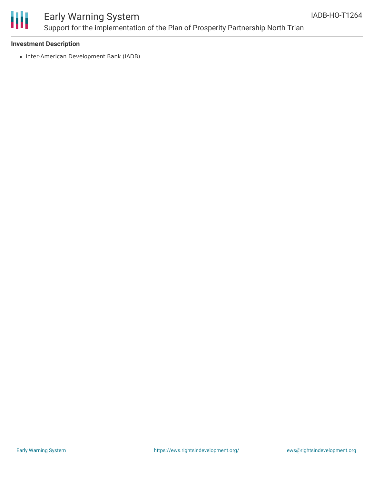

# Early Warning System Support for the implementation of the Plan of Prosperity Partnership North Trian

#### **Investment Description**

• Inter-American Development Bank (IADB)